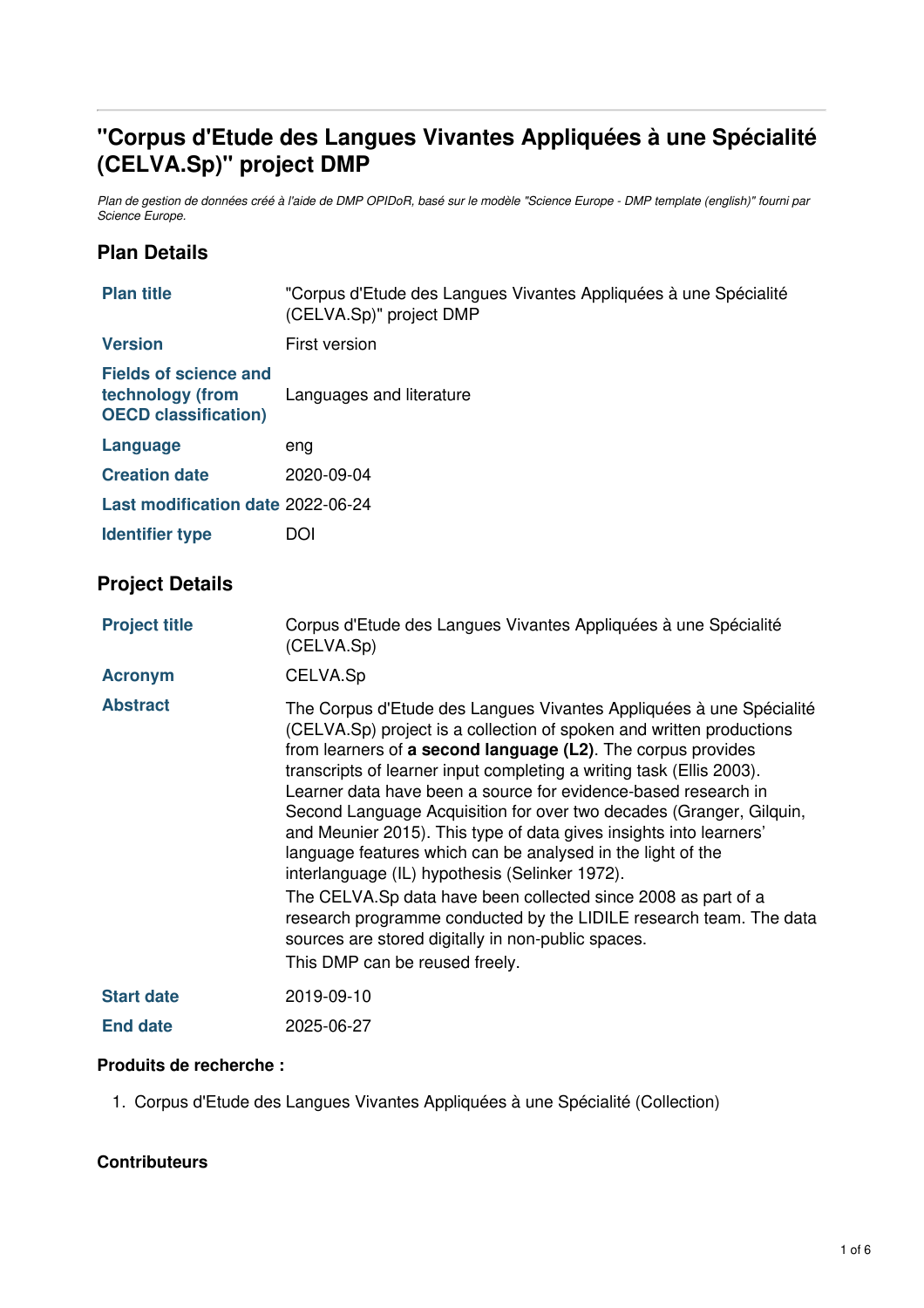# **"Corpus d'Etude des Langues Vivantes Appliquées à une Spécialité (CELVA.Sp)" project DMP**

Plan de gestion de données créé à l'aide de DMP OPIDoR, basé sur le modèle "Science Europe - DMP template (english)" fourni par *Science Europe.*

# **Plan Details**

| <b>Plan title</b>                                                               | "Corpus d'Etude des Langues Vivantes Appliquées à une Spécialité<br>(CELVA.Sp)" project DMP                                                                                                                                                                                                                                                                                                                                                                                                                                                                                                                                                                                                                                                                                                                                                        |  |  |  |  |
|---------------------------------------------------------------------------------|----------------------------------------------------------------------------------------------------------------------------------------------------------------------------------------------------------------------------------------------------------------------------------------------------------------------------------------------------------------------------------------------------------------------------------------------------------------------------------------------------------------------------------------------------------------------------------------------------------------------------------------------------------------------------------------------------------------------------------------------------------------------------------------------------------------------------------------------------|--|--|--|--|
| <b>Version</b>                                                                  | First version                                                                                                                                                                                                                                                                                                                                                                                                                                                                                                                                                                                                                                                                                                                                                                                                                                      |  |  |  |  |
| <b>Fields of science and</b><br>technology (from<br><b>OECD classification)</b> | Languages and literature                                                                                                                                                                                                                                                                                                                                                                                                                                                                                                                                                                                                                                                                                                                                                                                                                           |  |  |  |  |
| Language                                                                        | eng                                                                                                                                                                                                                                                                                                                                                                                                                                                                                                                                                                                                                                                                                                                                                                                                                                                |  |  |  |  |
| <b>Creation date</b>                                                            | 2020-09-04                                                                                                                                                                                                                                                                                                                                                                                                                                                                                                                                                                                                                                                                                                                                                                                                                                         |  |  |  |  |
| Last modification date 2022-06-24                                               |                                                                                                                                                                                                                                                                                                                                                                                                                                                                                                                                                                                                                                                                                                                                                                                                                                                    |  |  |  |  |
| <b>Identifier type</b>                                                          | <b>DOI</b>                                                                                                                                                                                                                                                                                                                                                                                                                                                                                                                                                                                                                                                                                                                                                                                                                                         |  |  |  |  |
| <b>Project Details</b>                                                          |                                                                                                                                                                                                                                                                                                                                                                                                                                                                                                                                                                                                                                                                                                                                                                                                                                                    |  |  |  |  |
| <b>Project title</b>                                                            | Corpus d'Etude des Langues Vivantes Appliquées à une Spécialité<br>(CELVA.Sp)                                                                                                                                                                                                                                                                                                                                                                                                                                                                                                                                                                                                                                                                                                                                                                      |  |  |  |  |
| <b>Acronym</b>                                                                  | CELVA.Sp                                                                                                                                                                                                                                                                                                                                                                                                                                                                                                                                                                                                                                                                                                                                                                                                                                           |  |  |  |  |
| <b>Abstract</b>                                                                 | The Corpus d'Etude des Langues Vivantes Appliquées à une Spécialité<br>(CELVA.Sp) project is a collection of spoken and written productions<br>from learners of a second language (L2). The corpus provides<br>transcripts of learner input completing a writing task (Ellis 2003).<br>Learner data have been a source for evidence-based research in<br>Second Language Acquisition for over two decades (Granger, Gilquin,<br>and Meunier 2015). This type of data gives insights into learners'<br>language features which can be analysed in the light of the<br>interlanguage (IL) hypothesis (Selinker 1972).<br>The CELVA.Sp data have been collected since 2008 as part of a<br>research programme conducted by the LIDILE research team. The data<br>sources are stored digitally in non-public spaces.<br>This DMP can be reused freely. |  |  |  |  |
| <b>Start date</b>                                                               | 2019-09-10                                                                                                                                                                                                                                                                                                                                                                                                                                                                                                                                                                                                                                                                                                                                                                                                                                         |  |  |  |  |
| <b>End date</b>                                                                 | 2025-06-27                                                                                                                                                                                                                                                                                                                                                                                                                                                                                                                                                                                                                                                                                                                                                                                                                                         |  |  |  |  |

#### **Produits de recherche :**

1. Corpus d'Etude des Langues Vivantes Appliquées à une Spécialité (Collection)

#### **Contributeurs**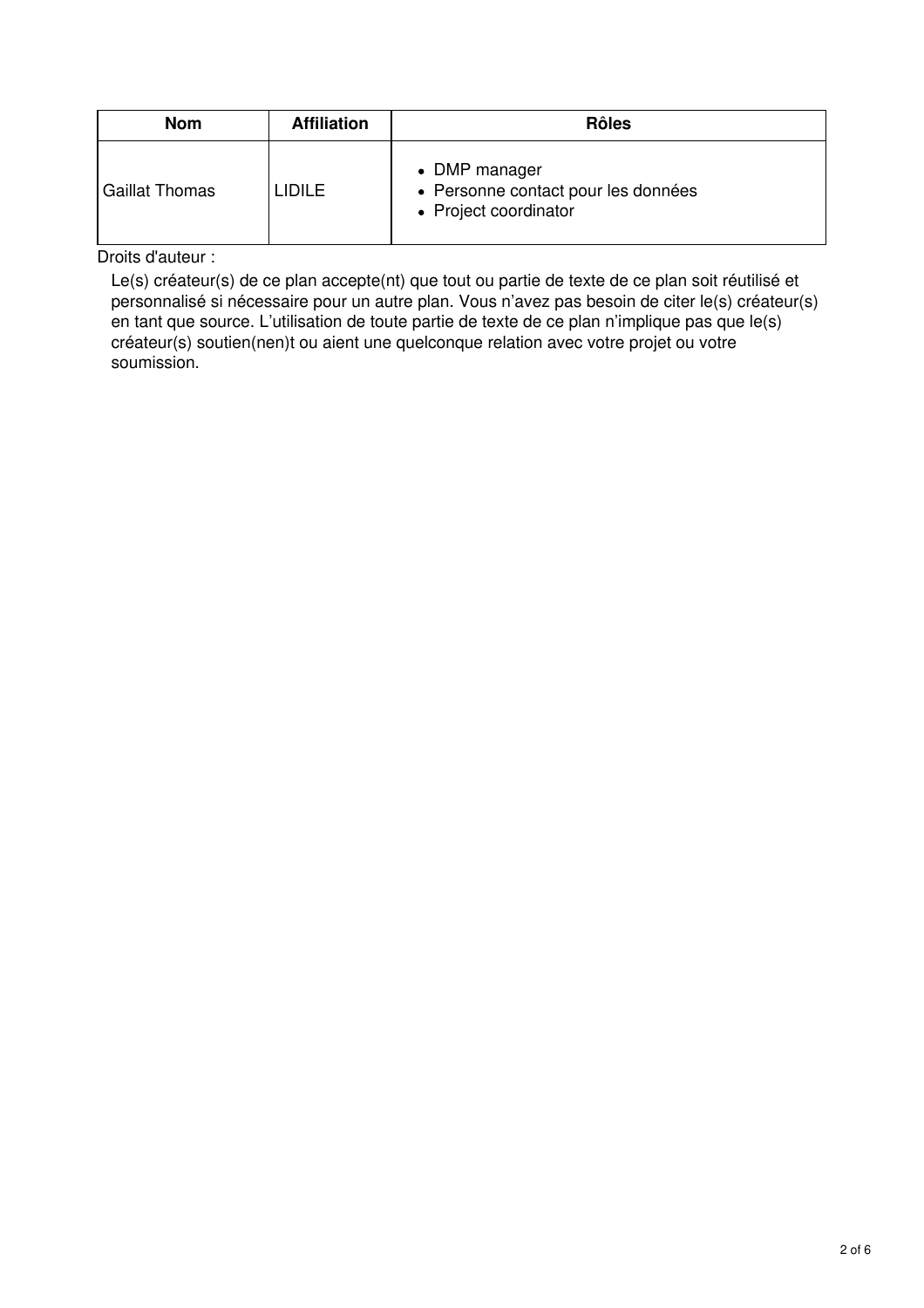| <b>Nom</b>            | <b>Affiliation</b> | <b>Rôles</b>                                                                  |
|-----------------------|--------------------|-------------------------------------------------------------------------------|
| <b>Gaillat Thomas</b> | LIDILE             | • DMP manager<br>• Personne contact pour les données<br>• Project coordinator |

Droits d'auteur :

Le(s) créateur(s) de ce plan accepte(nt) que tout ou partie de texte de ce plan soit réutilisé et personnalisé si nécessaire pour un autre plan. Vous n'avez pas besoin de citer le(s) créateur(s) en tant que source. L'utilisation de toute partie de texte de ce plan n'implique pas que le(s) créateur(s) soutien(nen)t ou aient une quelconque relation avec votre projet ou votre soumission.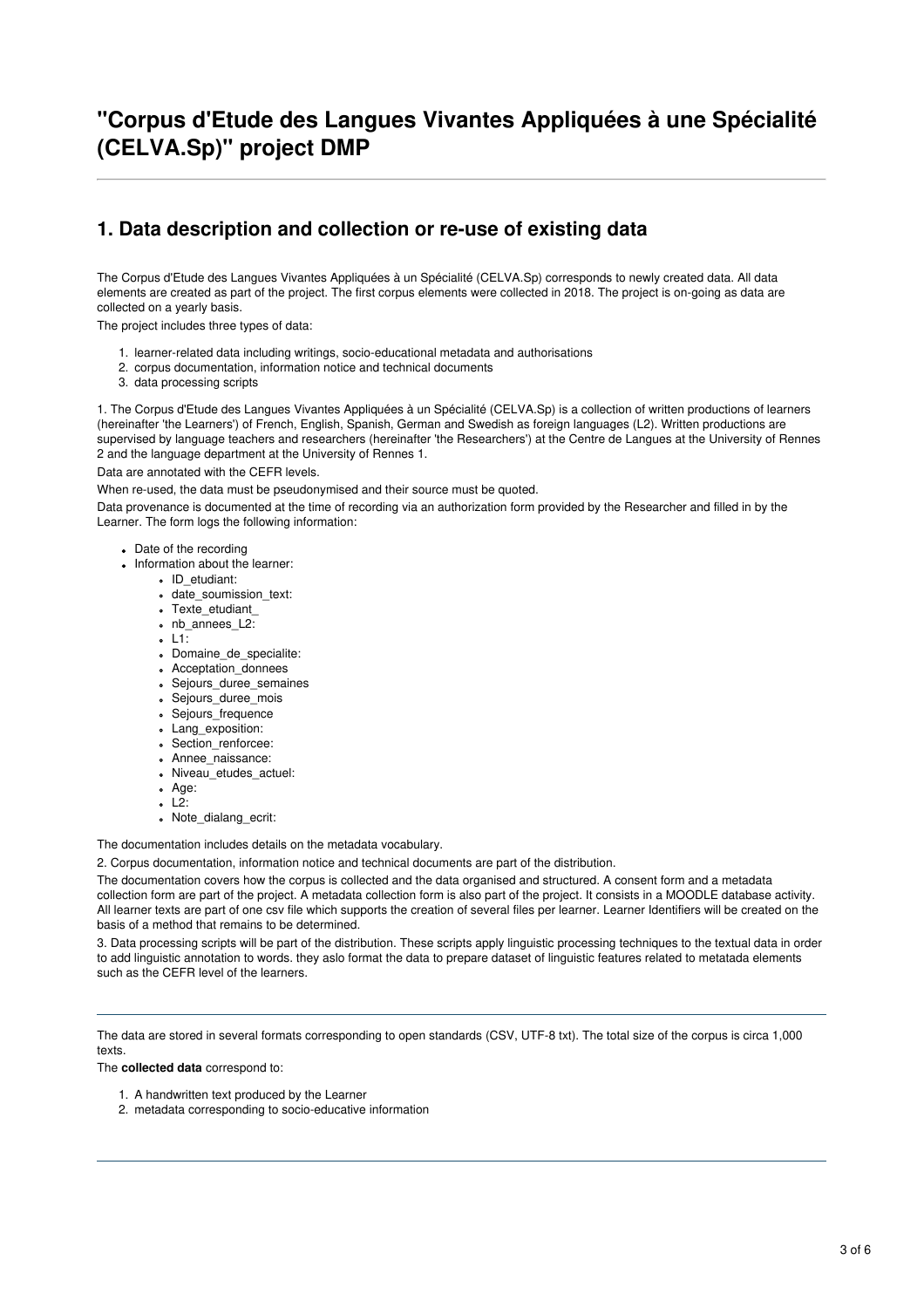# **"Corpus d'Etude des Langues Vivantes Appliquées à une Spécialité (CELVA.Sp)" project DMP**

# **1. Data description and collection or re-use of existing data**

The Corpus d'Etude des Langues Vivantes Appliquées à un Spécialité (CELVA.Sp) corresponds to newly created data. All data elements are created as part of the project. The first corpus elements were collected in 2018. The project is on-going as data are collected on a yearly basis.

The project includes three types of data:

- 1. learner-related data including writings, socio-educational metadata and authorisations
- 2. corpus documentation, information notice and technical documents
- 3. data processing scripts

1. The Corpus d'Etude des Langues Vivantes Appliquées à un Spécialité (CELVA.Sp) is a collection of written productions of learners (hereinafter 'the Learners') of French, English, Spanish, German and Swedish as foreign languages (L2). Written productions are supervised by language teachers and researchers (hereinafter 'the Researchers') at the Centre de Langues at the University of Rennes 2 and the language department at the University of Rennes 1.

Data are annotated with the CEFR levels.

When re-used, the data must be pseudonymised and their source must be quoted.

Data provenance is documented at the time of recording via an authorization form provided by the Researcher and filled in by the Learner. The form logs the following information:

- Date of the recording
- Information about the learner:
	- ID\_etudiant:
		- date\_soumission\_text:
		- Texte\_etudiant\_
		- nb annees L2:
		- L1:
		- Domaine\_de\_specialite:
		- Acceptation\_donnees
		- Sejours\_duree\_semaines
		- Sejours\_duree\_mois
		- Sejours\_frequence
		- Lang\_exposition:
		- Section\_renforcee:
		- Annee\_naissance:
		- Niveau\_etudes\_actuel:
		- Age:
		- L2:
		- Note\_dialang\_ecrit:

The documentation includes details on the metadata vocabulary.

2. Corpus documentation, information notice and technical documents are part of the distribution.

The documentation covers how the corpus is collected and the data organised and structured. A consent form and a metadata collection form are part of the project. A metadata collection form is also part of the project. It consists in a MOODLE database activity. All learner texts are part of one csv file which supports the creation of several files per learner. Learner Identifiers will be created on the basis of a method that remains to be determined.

3. Data processing scripts will be part of the distribution. These scripts apply linguistic processing techniques to the textual data in order to add linguistic annotation to words. they aslo format the data to prepare dataset of linguistic features related to metatada elements such as the CEFR level of the learners.

The data are stored in several formats corresponding to open standards (CSV, UTF-8 txt). The total size of the corpus is circa 1,000 texts.

The **collected data** correspond to:

- 1. A handwritten text produced by the Learner
- 2. metadata corresponding to socio-educative information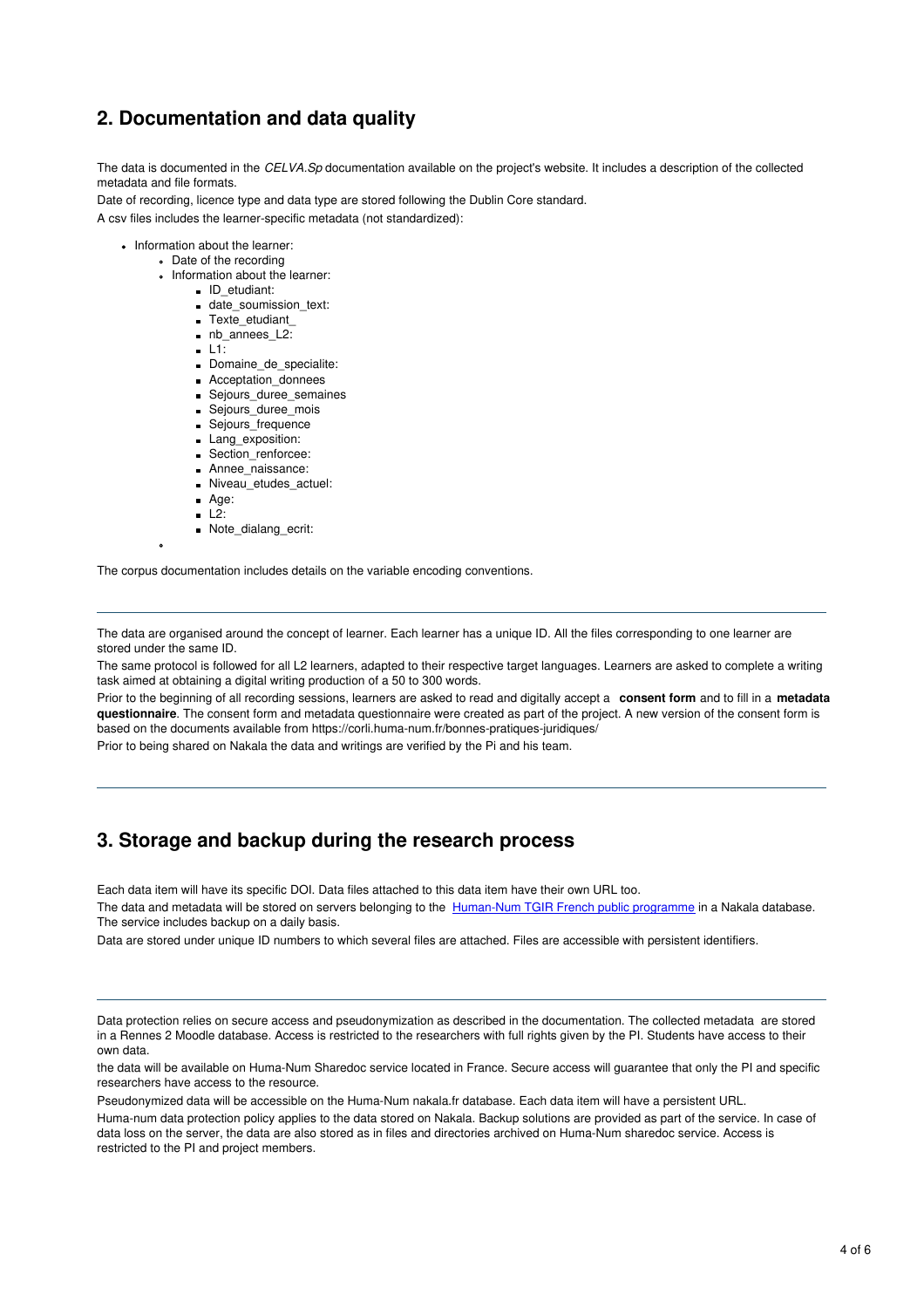# **2. Documentation and data quality**

The data is documented in the *CELVA.Sp* documentation available on the project's website. It includes a description of the collected metadata and file formats.

Date of recording, licence type and data type are stored following the Dublin Core standard. A csv files includes the learner-specific metadata (not standardized):

- Information about the learner:
	- Date of the recording
	- Information about the learner:
		- D etudiant:
		- date\_soumission\_text:
		- Texte\_etudiant
		- nb annees L2:
		- $-L1$ :
		- Domaine\_de\_specialite:
		- Acceptation\_donnees Sejours\_duree\_semaines
		- Sejours\_duree\_mois
		- **Sejours** frequence
		- Lang\_exposition:
		- Section\_renforcee:
		- **Annee** naissance:
		- Niveau\_etudes\_actuel:
		- Age:
		- $-L2$ :
		- Note\_dialang\_ecrit:

The corpus documentation includes details on the variable encoding conventions.

The data are organised around the concept of learner. Each learner has a unique ID. All the files corresponding to one learner are stored under the same ID.

The same protocol is followed for all L2 learners, adapted to their respective target languages. Learners are asked to complete a writing task aimed at obtaining a digital writing production of a 50 to 300 words.

Prior to the beginning of all recording sessions, learners are asked to read and digitally accept a **consent form** and to fill in a **metadata questionnaire**. The consent form and metadata questionnaire were created as part of the project. A new version of the consent form is based on the documents available from https://corli.huma-num.fr/bonnes-pratiques-juridiques/

Prior to being shared on Nakala the data and writings are verified by the Pi and his team.

### **3. Storage and backup during the research process**

Each data item will have its specific DOI. Data files attached to this data item have their own URL too.

The data and metadata will be stored on servers belonging to the [Human-Num](https://www.huma-num.fr/) TGIR French public programme in a Nakala database. The service includes backup on a daily basis.

Data are stored under unique ID numbers to which several files are attached. Files are accessible with persistent identifiers.

Data protection relies on secure access and pseudonymization as described in the documentation. The collected metadata are stored in a Rennes 2 Moodle database. Access is restricted to the researchers with full rights given by the PI. Students have access to their own data.

the data will be available on Huma-Num Sharedoc service located in France. Secure access will guarantee that only the PI and specific researchers have access to the resource.

Pseudonymized data will be accessible on the Huma-Num nakala.fr database. Each data item will have a persistent URL.

Huma-num data protection policy applies to the data stored on Nakala. Backup solutions are provided as part of the service. In case of data loss on the server, the data are also stored as in files and directories archived on Huma-Num sharedoc service. Access is restricted to the PI and project members.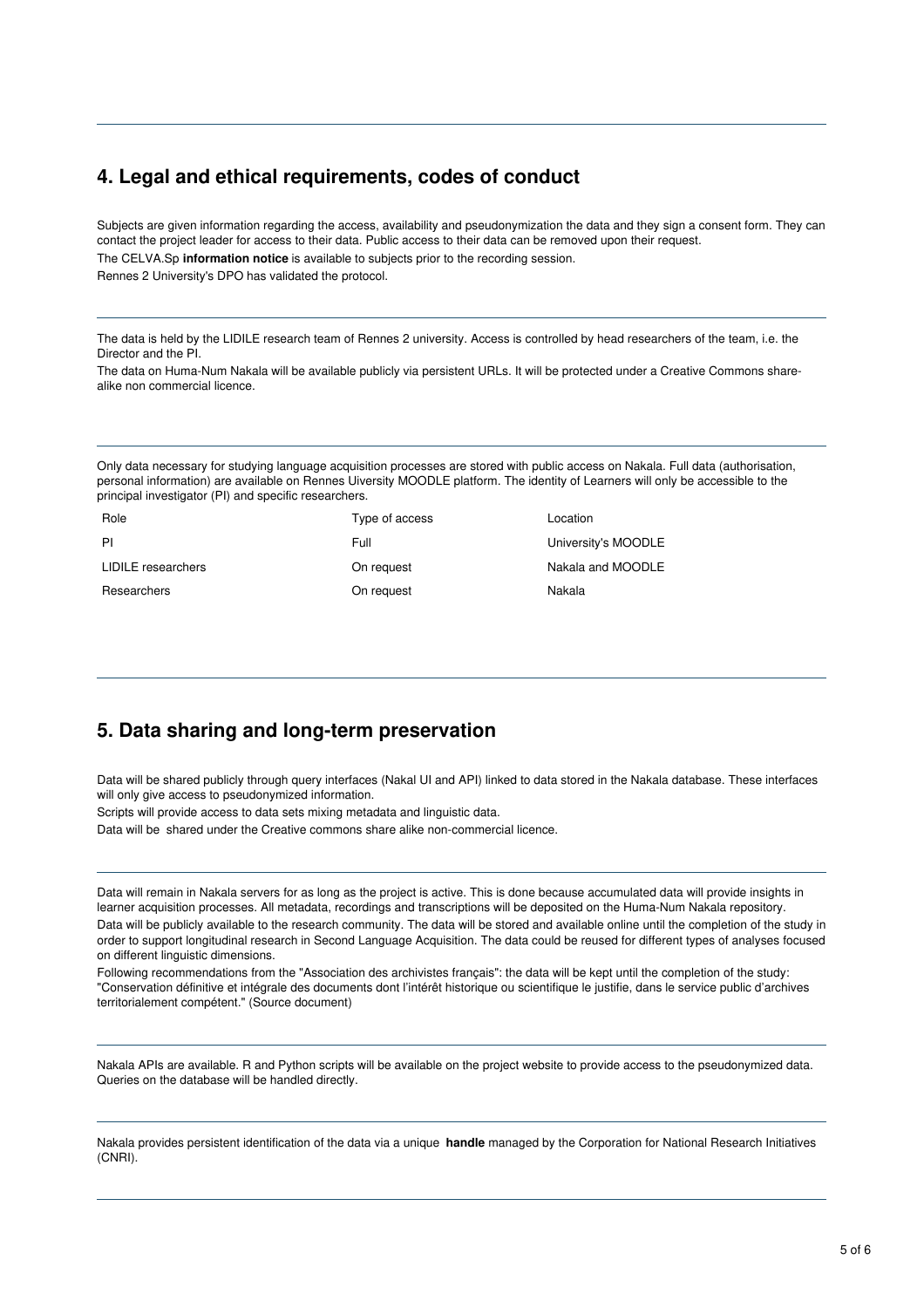# **4. Legal and ethical requirements, codes of conduct**

Subjects are given information regarding the access, availability and pseudonymization the data and they sign a consent form. They can contact the project leader for access to their data. Public access to their data can be removed upon their request. The CELVA.Sp **information notice** is available to subjects prior to the recording session. Rennes 2 University's DPO has validated the protocol.

The data is held by the LIDILE research team of Rennes 2 university. Access is controlled by head researchers of the team, i.e. the Director and the PI.

The data on Huma-Num Nakala will be available publicly via persistent URLs. It will be protected under a Creative Commons sharealike non commercial licence.

Only data necessary for studying language acquisition processes are stored with public access on Nakala. Full data (authorisation, personal information) are available on Rennes Uiversity MOODLE platform. The identity of Learners will only be accessible to the principal investigator (PI) and specific researchers.

| Role               | Type of access | Location            |
|--------------------|----------------|---------------------|
| PI                 | Full           | University's MOODLE |
| LIDILE researchers | On request     | Nakala and MOODLE   |
| Researchers        | On request     | Nakala              |

### **5. Data sharing and long-term preservation**

Data will be shared publicly through query interfaces (Nakal UI and API) linked to data stored in the Nakala database. These interfaces will only give access to pseudonymized information.

Scripts will provide access to data sets mixing metadata and linguistic data.

Data will be shared under the Creative commons share alike non-commercial licence.

Data will remain in Nakala servers for as long as the project is active. This is done because accumulated data will provide insights in learner acquisition processes. All metadata, recordings and transcriptions will be deposited on the Huma-Num Nakala repository. Data will be publicly available to the research community. The data will be stored and available online until the completion of the study in order to support longitudinal research in Second Language Acquisition. The data could be reused for different types of analyses focused on different linguistic dimensions.

Following recommendations from the "Association des archivistes français": the data will be kept until the completion of the study: "Conservation définitive et intégrale des documents dont l'intérêt historique ou scientifique le justifie, dans le service public d'archives territorialement compétent." (Source document)

Nakala APIs are available. R and Python scripts will be available on the project website to provide access to the pseudonymized data. Queries on the database will be handled directly.

Nakala provides persistent identification of the data via a unique **handle** managed by the Corporation for National Research Initiatives (CNRI).